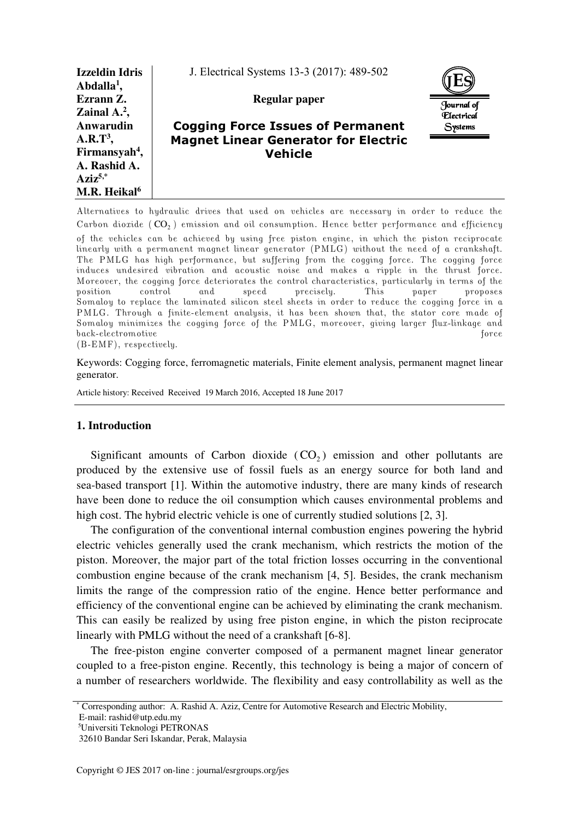| <b>Izzeldin Idris</b><br>Abdalla <sup>1</sup> , | J. Electrical Systems 13-3 (2017): 489-502  |                   |
|-------------------------------------------------|---------------------------------------------|-------------------|
| Ezrann Z.                                       | Regular paper                               | Journal of        |
| Zainal $A^2$ ,                                  |                                             | <b>Flectrical</b> |
| Anwarudin                                       | <b>Cogging Force Issues of Permanent</b>    | Systems           |
| $A.R.T3$ ,                                      | <b>Magnet Linear Generator for Electric</b> |                   |
| Firmansyah <sup>4</sup> ,                       | <b>Vehicle</b>                              |                   |
| A. Rashid A.                                    |                                             |                   |
| $Aziz^{5,*}$                                    |                                             |                   |
| M.R. Heikal <sup>6</sup>                        |                                             |                   |

Alternatives to hydraulic drives that used on vehicles are necessary in order to reduce the Carbon dioxide  $(\mathsf{CO}_2)$  emission and oil consumption. Hence better performance and efficiency of the vehicles can be achieved by using free piston engine, in which the piston reciprocate linearly with a permanent magnet linear generator (PMLG) without the need of a crankshaft. The PMLG has high performance, but suffering from the cogging force. The cogging force induces undesired vibration and acoustic noise and makes a ripple in the thrust force. Moreover, the cogging force deteriorates the control characteristics, particularly in terms of the position control and speed precisely. This paper proposes Somaloy to replace the laminated silicon steel sheets in order to reduce the cogging force in a PMLG. Through a finite-element analysis, it has been shown that, the stator core made of Somaloy minimizes the cogging force of the PMLG, moreover, giving larger flux-linkage and back-electromotive force (B-EMF), respectively.

Keywords: Cogging force, ferromagnetic materials, Finite element analysis, permanent magnet linear generator.

Article history: Received Received 19 March 2016, Accepted 18 June 2017

## **1. Introduction**

Significant amounts of Carbon dioxide  $(CO_2)$  emission and other pollutants are produced by the extensive use of fossil fuels as an energy source for both land and sea-based transport [1]. Within the automotive industry, there are many kinds of research have been done to reduce the oil consumption which causes environmental problems and high cost. The hybrid electric vehicle is one of currently studied solutions [2, 3].

The configuration of the conventional internal combustion engines powering the hybrid electric vehicles generally used the crank mechanism, which restricts the motion of the piston. Moreover, the major part of the total friction losses occurring in the conventional combustion engine because of the crank mechanism [4, 5]. Besides, the crank mechanism limits the range of the compression ratio of the engine. Hence better performance and efficiency of the conventional engine can be achieved by eliminating the crank mechanism. This can easily be realized by using free piston engine, in which the piston reciprocate linearly with PMLG without the need of a crankshaft [6-8].

The free-piston engine converter composed of a permanent magnet linear generator coupled to a free-piston engine. Recently, this technology is being a major of concern of a number of researchers worldwide. The flexibility and easy controllability as well as the

<sup>\*</sup> Corresponding author: A. Rashid A. Aziz, Centre for Automotive Research and Electric Mobility,

E-mail: rashid@utp.edu.my

<sup>5</sup>Universiti Teknologi PETRONAS

 <sup>32610</sup> Bandar Seri Iskandar, Perak, Malaysia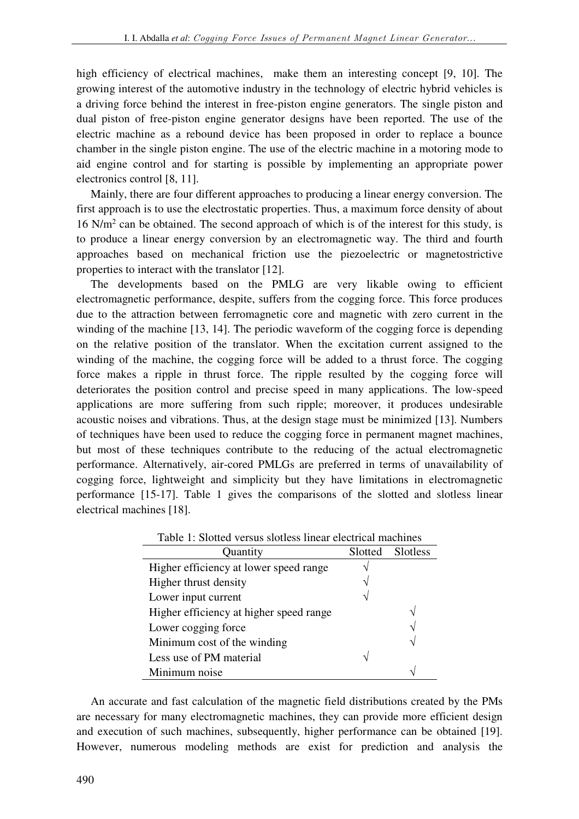high efficiency of electrical machines, make them an interesting concept [9, 10]. The growing interest of the automotive industry in the technology of electric hybrid vehicles is a driving force behind the interest in free-piston engine generators. The single piston and dual piston of free-piston engine generator designs have been reported. The use of the electric machine as a rebound device has been proposed in order to replace a bounce chamber in the single piston engine. The use of the electric machine in a motoring mode to aid engine control and for starting is possible by implementing an appropriate power electronics control [8, 11].

Mainly, there are four different approaches to producing a linear energy conversion. The first approach is to use the electrostatic properties. Thus, a maximum force density of about 16 N/m<sup>2</sup> can be obtained. The second approach of which is of the interest for this study, is to produce a linear energy conversion by an electromagnetic way. The third and fourth approaches based on mechanical friction use the piezoelectric or magnetostrictive properties to interact with the translator [12].

The developments based on the PMLG are very likable owing to efficient electromagnetic performance, despite, suffers from the cogging force. This force produces due to the attraction between ferromagnetic core and magnetic with zero current in the winding of the machine [13, 14]. The periodic waveform of the cogging force is depending on the relative position of the translator. When the excitation current assigned to the winding of the machine, the cogging force will be added to a thrust force. The cogging force makes a ripple in thrust force. The ripple resulted by the cogging force will deteriorates the position control and precise speed in many applications. The low-speed applications are more suffering from such ripple; moreover, it produces undesirable acoustic noises and vibrations. Thus, at the design stage must be minimized [13]. Numbers of techniques have been used to reduce the cogging force in permanent magnet machines, but most of these techniques contribute to the reducing of the actual electromagnetic performance. Alternatively, air-cored PMLGs are preferred in terms of unavailability of cogging force, lightweight and simplicity but they have limitations in electromagnetic performance [15-17]. Table 1 gives the comparisons of the slotted and slotless linear electrical machines [18].

| Table T. Shulted versus shulless filled electrical machines |         |          |  |
|-------------------------------------------------------------|---------|----------|--|
| Quantity                                                    | Slotted | Slotless |  |
| Higher efficiency at lower speed range                      |         |          |  |
| Higher thrust density                                       |         |          |  |
| Lower input current                                         |         |          |  |
| Higher efficiency at higher speed range                     |         | ٦        |  |
| Lower cogging force                                         |         | ٦        |  |
| Minimum cost of the winding                                 |         |          |  |
| Less use of PM material                                     |         |          |  |
| Minimum noise                                               |         |          |  |

Table 1: Slotted versus slotless linear electrical machines

An accurate and fast calculation of the magnetic field distributions created by the PMs are necessary for many electromagnetic machines, they can provide more efficient design and execution of such machines, subsequently, higher performance can be obtained [19]. However, numerous modeling methods are exist for prediction and analysis the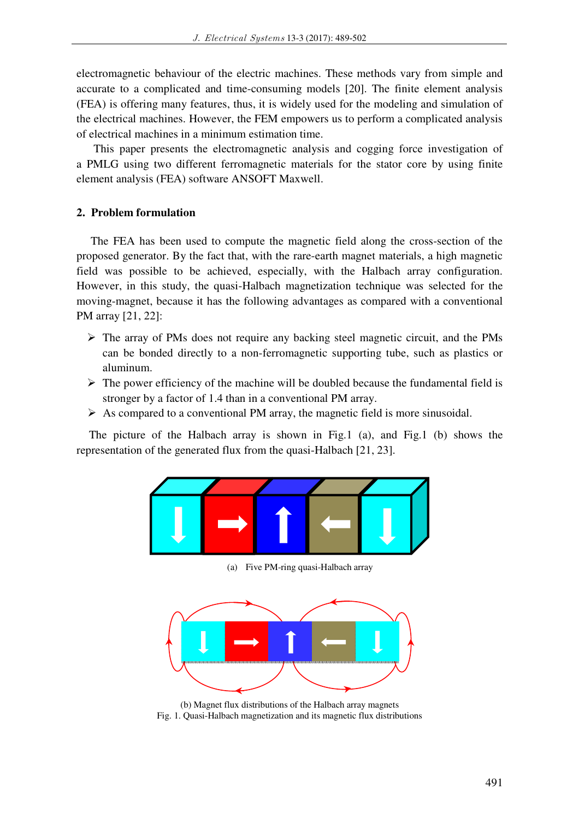electromagnetic behaviour of the electric machines. These methods vary from simple and accurate to a complicated and time-consuming models [20]. The finite element analysis (FEA) is offering many features, thus, it is widely used for the modeling and simulation of the electrical machines. However, the FEM empowers us to perform a complicated analysis of electrical machines in a minimum estimation time.

 This paper presents the electromagnetic analysis and cogging force investigation of a PMLG using two different ferromagnetic materials for the stator core by using finite element analysis (FEA) software ANSOFT Maxwell.

# **2. Problem formulation**

The FEA has been used to compute the magnetic field along the cross-section of the proposed generator. By the fact that, with the rare-earth magnet materials, a high magnetic field was possible to be achieved, especially, with the Halbach array configuration. However, in this study, the quasi-Halbach magnetization technique was selected for the moving-magnet, because it has the following advantages as compared with a conventional PM array [21, 22]:

- $\triangleright$  The array of PMs does not require any backing steel magnetic circuit, and the PMs can be bonded directly to a non-ferromagnetic supporting tube, such as plastics or aluminum.
- $\triangleright$  The power efficiency of the machine will be doubled because the fundamental field is stronger by a factor of 1.4 than in a conventional PM array.
- $\triangleright$  As compared to a conventional PM array, the magnetic field is more sinusoidal.

The picture of the Halbach array is shown in Fig.1 (a), and Fig.1 (b) shows the representation of the generated flux from the quasi-Halbach [21, 23].



(a) Five PM-ring quasi-Halbach array



(b) Magnet flux distributions of the Halbach array magnets Fig. 1. Quasi-Halbach magnetization and its magnetic flux distributions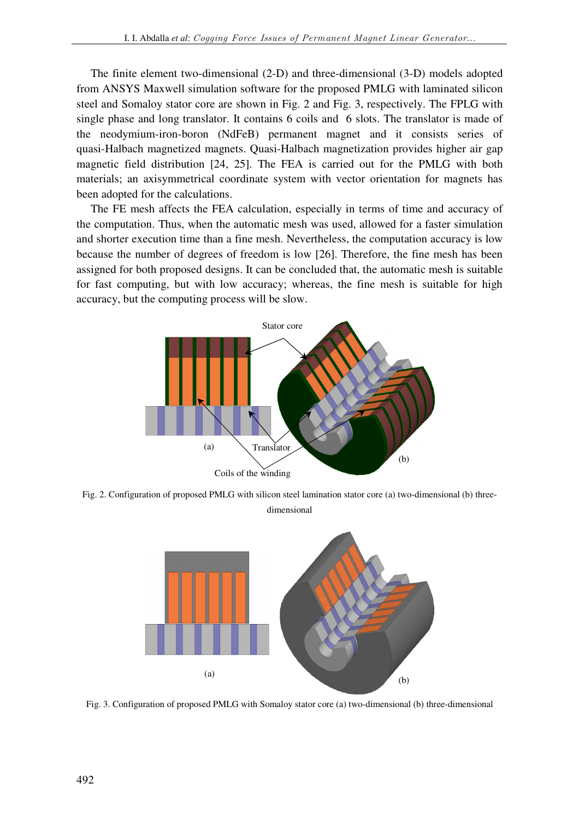The finite element two-dimensional (2-D) and three-dimensional (3-D) models adopted from ANSYS Maxwell simulation software for the proposed PMLG with laminated silicon steel and Somaloy stator core are shown in Fig. 2 and Fig. 3, respectively. The FPLG with single phase and long translator. It contains 6 coils and 6 slots. The translator is made of the neodymium-iron-boron (NdFeB) permanent magnet and it consists series of quasi-Halbach magnetized magnets. Quasi-Halbach magnetization provides higher air gap magnetic field distribution [24, 25]. The FEA is carried out for the PMLG with both materials; an axisymmetrical coordinate system with vector orientation for magnets has been adopted for the calculations.

The FE mesh affects the FEA calculation, especially in terms of time and accuracy of the computation. Thus, when the automatic mesh was used, allowed for a faster simulation and shorter execution time than a fine mesh. Nevertheless, the computation accuracy is low because the number of degrees of freedom is low [26]. Therefore, the fine mesh has been assigned for both proposed designs. It can be concluded that, the automatic mesh is suitable for fast computing, but with low accuracy; whereas, the fine mesh is suitable for high accuracy, but the computing process will be slow.



Fig. 2. Configuration of proposed PMLG with silicon steel lamination stator core (a) two-dimensional (b) threedimensional



Fig. 3. Configuration of proposed PMLG with Somaloy stator core (a) two-dimensional (b) three-dimensional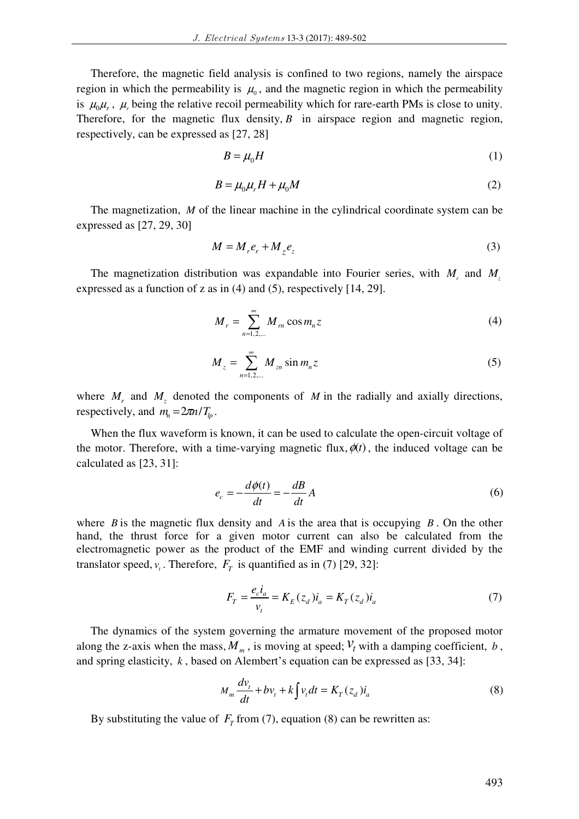Therefore, the magnetic field analysis is confined to two regions, namely the airspace region in which the permeability is  $\mu_0$ , and the magnetic region in which the permeability is  $\mu_0\mu_r$ ,  $\mu_r$  being the relative recoil permeability which for rare-earth PMs is close to unity. Therefore, for the magnetic flux density,  $B$  in airspace region and magnetic region, respectively, can be expressed as [27, 28]

$$
B = \mu_0 H \tag{1}
$$

$$
B = \mu_0 \mu_r H + \mu_0 M \tag{2}
$$

The magnetization, *M* of the linear machine in the cylindrical coordinate system can be expressed as [27, 29, 30]

$$
M = M_r e_r + M_z e_z \tag{3}
$$

The magnetization distribution was expandable into Fourier series, with *M<sup>r</sup>* and *M<sup>z</sup>* expressed as a function of z as in (4) and (5), respectively [14, 29].

$$
M_r = \sum_{n=1,2,\dots}^{\infty} M_m \cos m_n z \tag{4}
$$

$$
M_z = \sum_{n=1,2,\dots}^{\infty} M_{zn} \sin m_n z \tag{5}
$$

where  $M_r$  and  $M_z$  denoted the components of  $M$  in the radially and axially directions, respectively, and  $m_n = 2\pi n / T_n$ .

When the flux waveform is known, it can be used to calculate the open-circuit voltage of the motor. Therefore, with a time-varying magnetic flux,  $\phi(t)$ , the induced voltage can be calculated as [23, 31]:

$$
e_c = -\frac{d\phi(t)}{dt} = -\frac{dB}{dt}A\tag{6}
$$

where *B* is the magnetic flux density and *A* is the area that is occupying *B* . On the other hand, the thrust force for a given motor current can also be calculated from the electromagnetic power as the product of the EMF and winding current divided by the translator speed,  $v_t$ . Therefore,  $F_T$  is quantified as in (7) [29, 32]:

$$
F_T = \frac{e_c i_a}{v_t} = K_E(z_d) i_a = K_T(z_d) i_a
$$
 (7)

The dynamics of the system governing the armature movement of the proposed motor along the z-axis when the mass,  $M_m$ , is moving at speed;  $V_t$  with a damping coefficient, *b*, and spring elasticity, *k* , based on Alembert's equation can be expressed as [33, 34]:

$$
M_m \frac{dv_t}{dt} + bv_t + k \int v_t dt = K_T(z_d) i_a \tag{8}
$$

By substituting the value of  $F_T$  from (7), equation (8) can be rewritten as: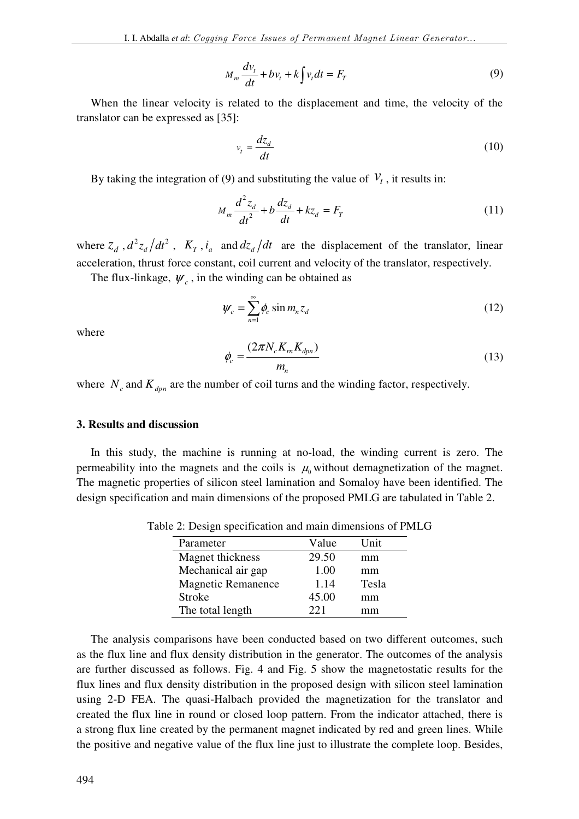$$
M_m \frac{dv_t}{dt} + bv_t + k \int v_t dt = F_T \tag{9}
$$

When the linear velocity is related to the displacement and time, the velocity of the translator can be expressed as [35]:

$$
v_t = \frac{dz_d}{dt} \tag{10}
$$

By taking the integration of (9) and substituting the value of  $V_t$ , it results in:

$$
M_m \frac{d^2 z_d}{dt^2} + b \frac{dz_d}{dt} + kz_d = F_T
$$
 (11)

where  $z_d$ ,  $d^2z_d/dt^2$  $d^2z_d/dt^2$ ,  $K_T$ ,  $i_a$  and  $dz_d/dt$  are the displacement of the translator, linear acceleration, thrust force constant, coil current and velocity of the translator, respectively.

The flux-linkage,  $\psi_c$ , in the winding can be obtained as

$$
\psi_c = \sum_{n=1}^{\infty} \phi_c \sin m_n z_d \tag{12}
$$

where

$$
\phi_c = \frac{(2\pi N_c K_m K_{dpn})}{m_n} \tag{13}
$$

where  $N_c$  and  $K_{dpn}$  are the number of coil turns and the winding factor, respectively.

#### **3. Results and discussion**

In this study, the machine is running at no-load, the winding current is zero. The permeability into the magnets and the coils is  $\mu_0$  without demagnetization of the magnet. The magnetic properties of silicon steel lamination and Somaloy have been identified. The design specification and main dimensions of the proposed PMLG are tabulated in Table 2.

Table 2: Design specification and main dimensions of PMLG

| Parameter                 | Value | Unit  |
|---------------------------|-------|-------|
| Magnet thickness          | 29.50 | mm    |
| Mechanical air gap        | 1.00  | mm    |
| <b>Magnetic Remanence</b> | 1.14  | Tesla |
| <b>Stroke</b>             | 45.00 | mm    |
| The total length          | 221   | mm    |

The analysis comparisons have been conducted based on two different outcomes, such as the flux line and flux density distribution in the generator. The outcomes of the analysis are further discussed as follows. Fig. 4 and Fig. 5 show the magnetostatic results for the flux lines and flux density distribution in the proposed design with silicon steel lamination using 2-D FEA. The quasi-Halbach provided the magnetization for the translator and created the flux line in round or closed loop pattern. From the indicator attached, there is a strong flux line created by the permanent magnet indicated by red and green lines. While the positive and negative value of the flux line just to illustrate the complete loop. Besides,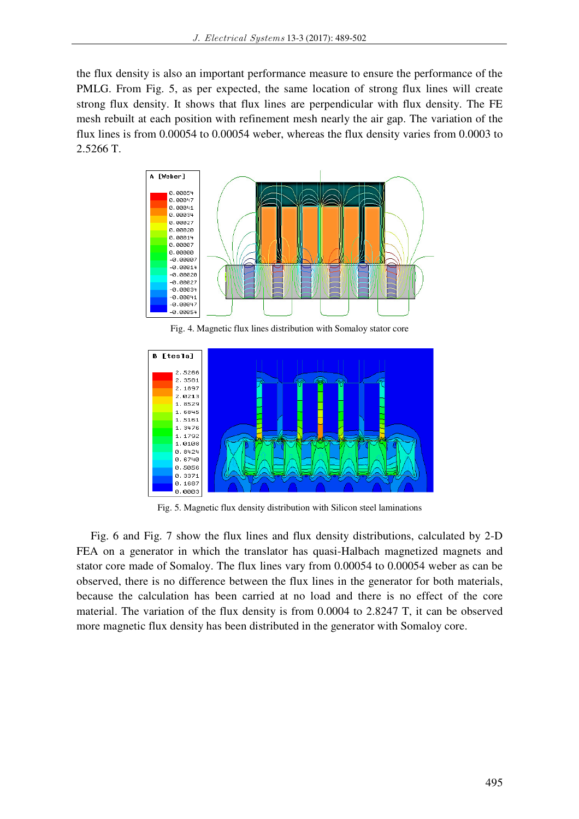the flux density is also an important performance measure to ensure the performance of the PMLG. From Fig. 5, as per expected, the same location of strong flux lines will create strong flux density. It shows that flux lines are perpendicular with flux density. The FE mesh rebuilt at each position with refinement mesh nearly the air gap. The variation of the flux lines is from 0.00054 to 0.00054 weber, whereas the flux density varies from 0.0003 to 2.5266 T.



Fig. 4. Magnetic flux lines distribution with Somaloy stator core



Fig. 5. Magnetic flux density distribution with Silicon steel laminations

Fig. 6 and Fig. 7 show the flux lines and flux density distributions, calculated by 2-D FEA on a generator in which the translator has quasi-Halbach magnetized magnets and stator core made of Somaloy. The flux lines vary from 0.00054 to 0.00054 weber as can be observed, there is no difference between the flux lines in the generator for both materials, because the calculation has been carried at no load and there is no effect of the core material. The variation of the flux density is from 0.0004 to 2.8247 T, it can be observed more magnetic flux density has been distributed in the generator with Somaloy core.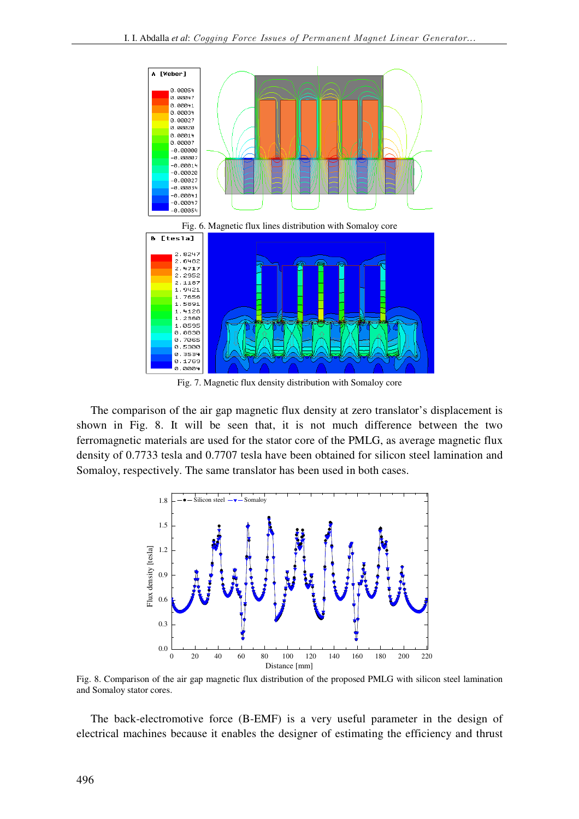

Fig. 7. Magnetic flux density distribution with Somaloy core

The comparison of the air gap magnetic flux density at zero translator's displacement is shown in Fig. 8. It will be seen that, it is not much difference between the two ferromagnetic materials are used for the stator core of the PMLG, as average magnetic flux density of 0.7733 tesla and 0.7707 tesla have been obtained for silicon steel lamination and Somaloy, respectively. The same translator has been used in both cases.



Fig. 8. Comparison of the air gap magnetic flux distribution of the proposed PMLG with silicon steel lamination and Somaloy stator cores.

The back-electromotive force (B-EMF) is a very useful parameter in the design of electrical machines because it enables the designer of estimating the efficiency and thrust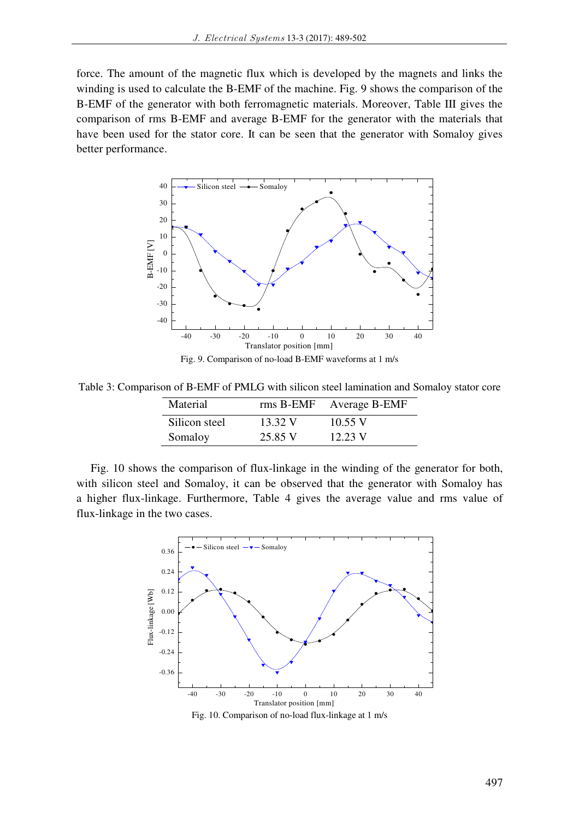force. The amount of the magnetic flux which is developed by the magnets and links the winding is used to calculate the B-EMF of the machine. Fig. 9 shows the comparison of the B-EMF of the generator with both ferromagnetic materials. Moreover, Table III gives the comparison of rms B-EMF and average B-EMF for the generator with the materials that have been used for the stator core. It can be seen that the generator with Somaloy gives better performance.



Fig. 9. Comparison of no-load B-EMF waveforms at 1 m/s

Table 3: Comparison of B-EMF of PMLG with silicon steel lamination and Somaloy stator core

| Material      | rms B-EMF | Average B-EMF |
|---------------|-----------|---------------|
| Silicon steel | 13.32 V   | $10.55$ V     |
| Somaloy       | 25.85 V   | 12.23 V       |

Fig. 10 shows the comparison of flux-linkage in the winding of the generator for both, with silicon steel and Somaloy, it can be observed that the generator with Somaloy has a higher flux-linkage. Furthermore, Table 4 gives the average value and rms value of flux-linkage in the two cases.



Fig. 10. Comparison of no-load flux-linkage at 1 m/s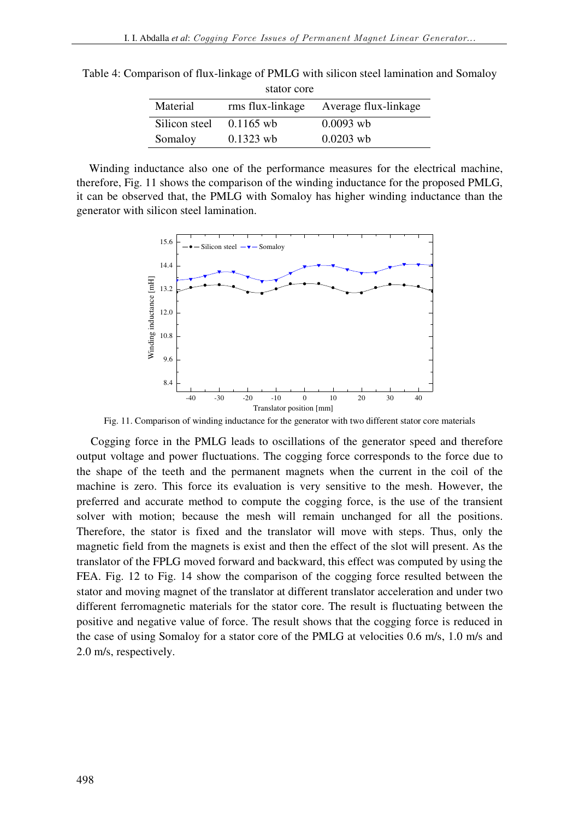| stator core   |                  |                      |  |  |
|---------------|------------------|----------------------|--|--|
| Material      | rms flux-linkage | Average flux-linkage |  |  |
| Silicon steel | $0.1165$ wb      | $0.0093$ wb          |  |  |
| Somaloy       | $0.1323$ wb      | $0.0203$ wb          |  |  |

Table 4: Comparison of flux-linkage of PMLG with silicon steel lamination and Somaloy

Winding inductance also one of the performance measures for the electrical machine, therefore, Fig. 11 shows the comparison of the winding inductance for the proposed PMLG, it can be observed that, the PMLG with Somaloy has higher winding inductance than the generator with silicon steel lamination.



Fig. 11. Comparison of winding inductance for the generator with two different stator core materials

Cogging force in the PMLG leads to oscillations of the generator speed and therefore output voltage and power fluctuations. The cogging force corresponds to the force due to the shape of the teeth and the permanent magnets when the current in the coil of the machine is zero. This force its evaluation is very sensitive to the mesh. However, the preferred and accurate method to compute the cogging force, is the use of the transient solver with motion; because the mesh will remain unchanged for all the positions. Therefore, the stator is fixed and the translator will move with steps. Thus, only the magnetic field from the magnets is exist and then the effect of the slot will present. As the translator of the FPLG moved forward and backward, this effect was computed by using the FEA. Fig. 12 to Fig. 14 show the comparison of the cogging force resulted between the stator and moving magnet of the translator at different translator acceleration and under two different ferromagnetic materials for the stator core. The result is fluctuating between the positive and negative value of force. The result shows that the cogging force is reduced in the case of using Somaloy for a stator core of the PMLG at velocities 0.6 m/s, 1.0 m/s and 2.0 m/s, respectively.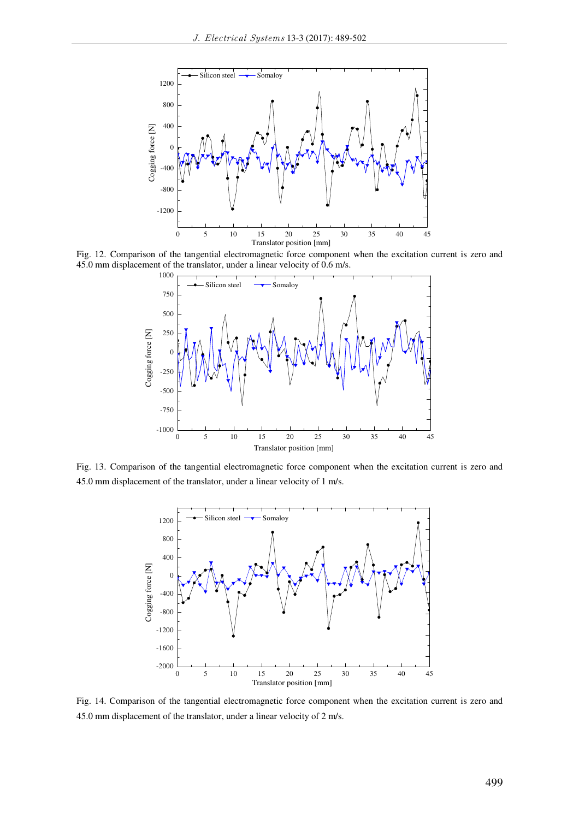

Fig. 12. Comparison of the tangential electromagnetic force component when the excitation current is zero and 45.0 mm displacement of the translator, under a linear velocity of 0.6 m/s.



Fig. 13. Comparison of the tangential electromagnetic force component when the excitation current is zero and 45.0 mm displacement of the translator, under a linear velocity of 1 m/s.



Fig. 14. Comparison of the tangential electromagnetic force component when the excitation current is zero and 45.0 mm displacement of the translator, under a linear velocity of 2 m/s.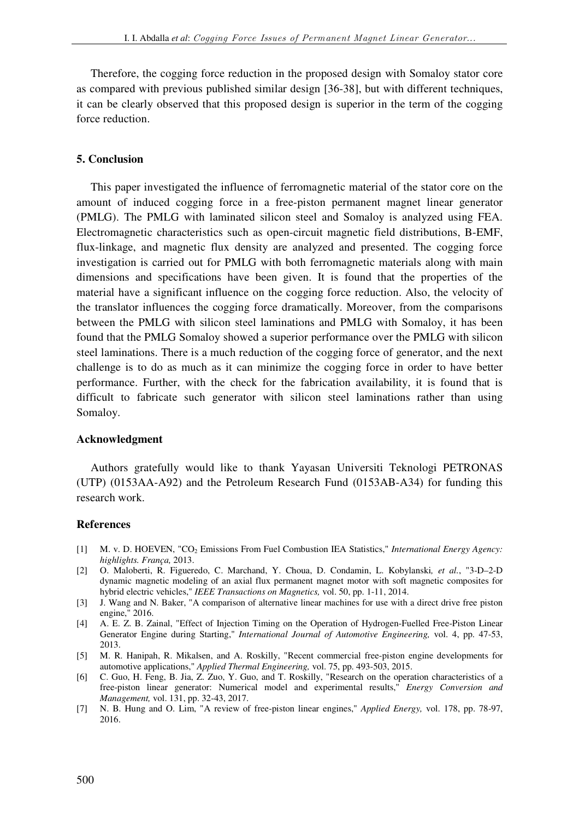Therefore, the cogging force reduction in the proposed design with Somaloy stator core as compared with previous published similar design [36-38], but with different techniques, it can be clearly observed that this proposed design is superior in the term of the cogging force reduction.

## **5. Conclusion**

This paper investigated the influence of ferromagnetic material of the stator core on the amount of induced cogging force in a free-piston permanent magnet linear generator (PMLG). The PMLG with laminated silicon steel and Somaloy is analyzed using FEA. Electromagnetic characteristics such as open-circuit magnetic field distributions, B-EMF, flux-linkage, and magnetic flux density are analyzed and presented. The cogging force investigation is carried out for PMLG with both ferromagnetic materials along with main dimensions and specifications have been given. It is found that the properties of the material have a significant influence on the cogging force reduction. Also, the velocity of the translator influences the cogging force dramatically. Moreover, from the comparisons between the PMLG with silicon steel laminations and PMLG with Somaloy, it has been found that the PMLG Somaloy showed a superior performance over the PMLG with silicon steel laminations. There is a much reduction of the cogging force of generator, and the next challenge is to do as much as it can minimize the cogging force in order to have better performance. Further, with the check for the fabrication availability, it is found that is difficult to fabricate such generator with silicon steel laminations rather than using Somaloy.

## **Acknowledgment**

Authors gratefully would like to thank Yayasan Universiti Teknologi PETRONAS (UTP) (0153AA-A92) and the Petroleum Research Fund (0153AB-A34) for funding this research work.

## **References**

- [1] M. v. D. HOEVEN, "CO2 Emissions From Fuel Combustion IEA Statistics," *International Energy Agency: highlights. França,* 2013.
- [2] O. Maloberti, R. Figueredo, C. Marchand, Y. Choua, D. Condamin, L. Kobylanski*, et al.*, "3-D–2-D dynamic magnetic modeling of an axial flux permanent magnet motor with soft magnetic composites for hybrid electric vehicles," *IEEE Transactions on Magnetics,* vol. 50, pp. 1-11, 2014.
- [3] J. Wang and N. Baker, "A comparison of alternative linear machines for use with a direct drive free piston engine," 2016.
- [4] A. E. Z. B. Zainal, "Effect of Injection Timing on the Operation of Hydrogen-Fuelled Free-Piston Linear Generator Engine during Starting," *International Journal of Automotive Engineering,* vol. 4, pp. 47-53, 2013.
- [5] M. R. Hanipah, R. Mikalsen, and A. Roskilly, "Recent commercial free-piston engine developments for automotive applications," *Applied Thermal Engineering,* vol. 75, pp. 493-503, 2015.
- [6] C. Guo, H. Feng, B. Jia, Z. Zuo, Y. Guo, and T. Roskilly, "Research on the operation characteristics of a free-piston linear generator: Numerical model and experimental results," *Energy Conversion and Management,* vol. 131, pp. 32-43, 2017.
- [7] N. B. Hung and O. Lim, "A review of free-piston linear engines," *Applied Energy,* vol. 178, pp. 78-97, 2016.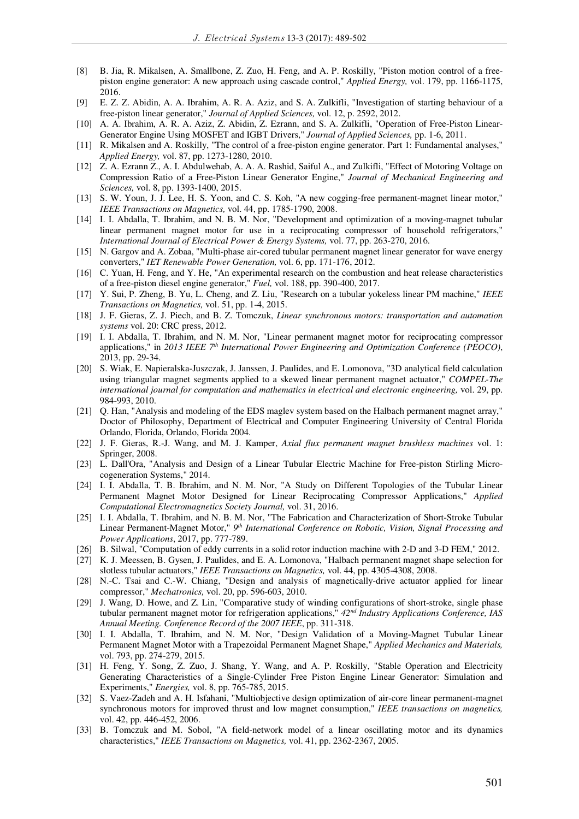- [8] B. Jia, R. Mikalsen, A. Smallbone, Z. Zuo, H. Feng, and A. P. Roskilly, "Piston motion control of a freepiston engine generator: A new approach using cascade control," *Applied Energy,* vol. 179, pp. 1166-1175, 2016.
- [9] E. Z. Z. Abidin, A. A. Ibrahim, A. R. A. Aziz, and S. A. Zulkifli, "Investigation of starting behaviour of a free-piston linear generator," *Journal of Applied Sciences,* vol. 12, p. 2592, 2012.
- [10] A. A. Ibrahim, A. R. A. Aziz, Z. Abidin, Z. Ezrann, and S. A. Zulkifli, "Operation of Free-Piston Linear-Generator Engine Using MOSFET and IGBT Drivers," *Journal of Applied Sciences,* pp. 1-6, 2011.
- [11] R. Mikalsen and A. Roskilly, "The control of a free-piston engine generator. Part 1: Fundamental analyses," *Applied Energy,* vol. 87, pp. 1273-1280, 2010.
- [12] Z. A. Ezrann Z., A. I. Abdulwehab, A. A. A. Rashid, Saiful A., and Zulkifli, "Effect of Motoring Voltage on Compression Ratio of a Free-Piston Linear Generator Engine," *Journal of Mechanical Engineering and Sciences,* vol. 8, pp. 1393-1400, 2015.
- [13] S. W. Youn, J. J. Lee, H. S. Yoon, and C. S. Koh, "A new cogging-free permanent-magnet linear motor," *IEEE Transactions on Magnetics,* vol. 44, pp. 1785-1790, 2008.
- [14] I. I. Abdalla, T. Ibrahim, and N. B. M. Nor, "Development and optimization of a moving-magnet tubular linear permanent magnet motor for use in a reciprocating compressor of household refrigerators," *International Journal of Electrical Power & Energy Systems,* vol. 77, pp. 263-270, 2016.
- [15] N. Gargov and A. Zobaa, "Multi-phase air-cored tubular permanent magnet linear generator for wave energy converters," *IET Renewable Power Generation,* vol. 6, pp. 171-176, 2012.
- [16] C. Yuan, H. Feng, and Y. He, "An experimental research on the combustion and heat release characteristics of a free-piston diesel engine generator," *Fuel,* vol. 188, pp. 390-400, 2017.
- [17] Y. Sui, P. Zheng, B. Yu, L. Cheng, and Z. Liu, "Research on a tubular yokeless linear PM machine," *IEEE Transactions on Magnetics,* vol. 51, pp. 1-4, 2015.
- [18] J. F. Gieras, Z. J. Piech, and B. Z. Tomczuk, *Linear synchronous motors: transportation and automation systems* vol. 20: CRC press, 2012.
- [19] I. I. Abdalla, T. Ibrahim, and N. M. Nor, "Linear permanent magnet motor for reciprocating compressor applications," in *2013 IEEE 7th International Power Engineering and Optimization Conference (PEOCO)*, 2013, pp. 29-34.
- [20] S. Wiak, E. Napieralska-Juszczak, J. Janssen, J. Paulides, and E. Lomonova, "3D analytical field calculation using triangular magnet segments applied to a skewed linear permanent magnet actuator," *COMPEL-The international journal for computation and mathematics in electrical and electronic engineering,* vol. 29, pp. 984-993, 2010.
- [21] Q. Han, "Analysis and modeling of the EDS maglev system based on the Halbach permanent magnet array," Doctor of Philosophy, Department of Electrical and Computer Engineering University of Central Florida Orlando, Florida, Orlando, Florida 2004.
- [22] J. F. Gieras, R.-J. Wang, and M. J. Kamper, *Axial flux permanent magnet brushless machines* vol. 1: Springer, 2008.
- [23] L. Dall'Ora, "Analysis and Design of a Linear Tubular Electric Machine for Free-piston Stirling Microcogeneration Systems," 2014.
- [24] I. I. Abdalla, T. B. Ibrahim, and N. M. Nor, "A Study on Different Topologies of the Tubular Linear Permanent Magnet Motor Designed for Linear Reciprocating Compressor Applications," *Applied Computational Electromagnetics Society Journal,* vol. 31, 2016.
- [25] I. I. Abdalla, T. Ibrahim, and N. B. M. Nor, "The Fabrication and Characterization of Short-Stroke Tubular Linear Permanent-Magnet Motor," <sup>9th</sup> International Conference on Robotic, Vision, Signal Processing and *Power Applications*, 2017, pp. 777-789.
- [26] B. Silwal, "Computation of eddy currents in a solid rotor induction machine with 2-D and 3-D FEM," 2012.
- [27] K. J. Meessen, B. Gysen, J. Paulides, and E. A. Lomonova, "Halbach permanent magnet shape selection for slotless tubular actuators," *IEEE Transactions on Magnetics,* vol. 44, pp. 4305-4308, 2008.
- [28] N.-C. Tsai and C.-W. Chiang, "Design and analysis of magnetically-drive actuator applied for linear compressor," *Mechatronics,* vol. 20, pp. 596-603, 2010.
- [29] J. Wang, D. Howe, and Z. Lin, "Comparative study of winding configurations of short-stroke, single phase tubular permanent magnet motor for refrigeration applications," *42nd Industry Applications Conference, IAS Annual Meeting. Conference Record of the 2007 IEEE*, pp. 311-318.
- [30] I. I. Abdalla, T. Ibrahim, and N. M. Nor, "Design Validation of a Moving-Magnet Tubular Linear Permanent Magnet Motor with a Trapezoidal Permanent Magnet Shape," *Applied Mechanics and Materials,*  vol. 793, pp. 274-279, 2015.
- [31] H. Feng, Y. Song, Z. Zuo, J. Shang, Y. Wang, and A. P. Roskilly, "Stable Operation and Electricity Generating Characteristics of a Single-Cylinder Free Piston Engine Linear Generator: Simulation and Experiments," *Energies,* vol. 8, pp. 765-785, 2015.
- [32] S. Vaez-Zadeh and A. H. Isfahani, "Multiobjective design optimization of air-core linear permanent-magnet synchronous motors for improved thrust and low magnet consumption," *IEEE transactions on magnetics,*  vol. 42, pp. 446-452, 2006.
- [33] B. Tomczuk and M. Sobol, "A field-network model of a linear oscillating motor and its dynamics characteristics," *IEEE Transactions on Magnetics,* vol. 41, pp. 2362-2367, 2005.